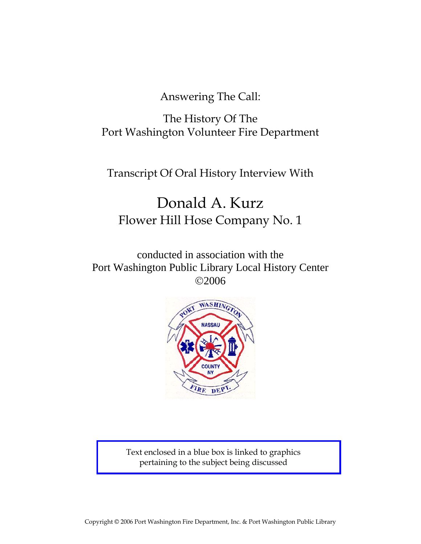Answering The Call:

The History Of The Port Washington Volunteer Fire Department

Transcript Of Oral History Interview With

# Donald A. Kurz Flower Hill Hose Company No. 1

conducted in association with the Port Washington Public Library Local History Center ©2006



Text enclosed in a blue box is linked to graphics pertaining to the subject being discussed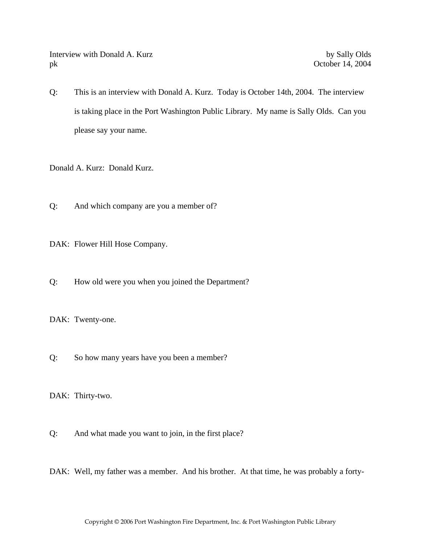Interview with Donald A. Kurz by Sally Olds pk October 14, 2004

Q: This is an interview with Donald A. Kurz. Today is October 14th, 2004. The interview is taking place in the Port Washington Public Library. My name is Sally Olds. Can you please say your name.

Donald A. Kurz: Donald Kurz.

Q: And which company are you a member of?

DAK: Flower Hill Hose Company.

Q: How old were you when you joined the Department?

DAK: Twenty-one.

Q: So how many years have you been a member?

DAK: Thirty-two.

Q: And what made you want to join, in the first place?

DAK: Well, my father was a member. And his brother. At that time, he was probably a forty-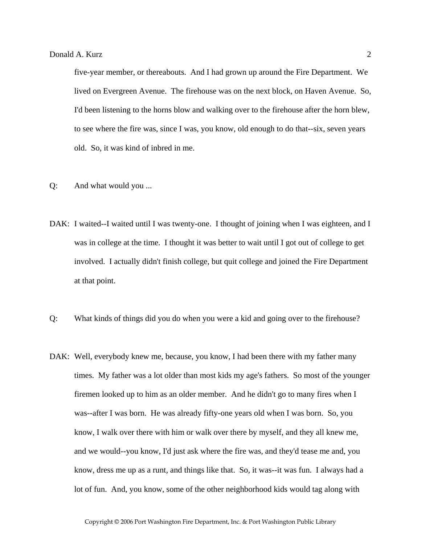five-year member, or thereabouts. And I had grown up around the Fire Department. We lived on Evergreen Avenue. The firehouse was on the next block, on Haven Avenue. So, I'd been listening to the horns blow and walking over to the firehouse after the horn blew, to see where the fire was, since I was, you know, old enough to do that--six, seven years old. So, it was kind of inbred in me.

- Q: And what would you ...
- DAK: I waited--I waited until I was twenty-one. I thought of joining when I was eighteen, and I was in college at the time. I thought it was better to wait until I got out of college to get involved. I actually didn't finish college, but quit college and joined the Fire Department at that point.
- Q: What kinds of things did you do when you were a kid and going over to the firehouse?
- DAK: Well, everybody knew me, because, you know, I had been there with my father many times. My father was a lot older than most kids my age's fathers. So most of the younger firemen looked up to him as an older member. And he didn't go to many fires when I was--after I was born. He was already fifty-one years old when I was born. So, you know, I walk over there with him or walk over there by myself, and they all knew me, and we would--you know, I'd just ask where the fire was, and they'd tease me and, you know, dress me up as a runt, and things like that. So, it was--it was fun. I always had a lot of fun. And, you know, some of the other neighborhood kids would tag along with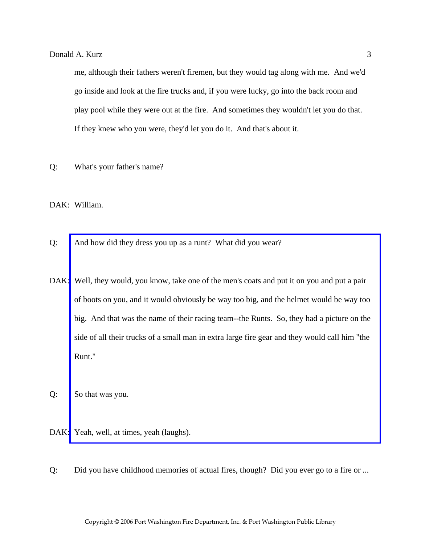me, although their fathers weren't firemen, but they would tag along with me. And we'd go inside and look at the fire trucks and, if you were lucky, go into the back room and play pool while they were out at the fire. And sometimes they wouldn't let you do that. If they knew who you were, they'd let you do it. And that's about it.

Q: What's your father's name?

DAK: William.

- Q: And how did they dress you up as a runt? What did you wear?
- DAK: Well, they would, you know, take one of the men's coats and put it on you and put a pair of boots on you, and it would obviously be way too big, and the helmet would be way too [big. And that was the name of their racing team--the Runts. So, they had a picture on the](http://www.pwfdhistory.com/trans/kurzd_trans/fhh_artifact004.pdf)  side of all their trucks of a small man in extra large fire gear and they would call him "the Runt."
- Q: So that was you.
- DAK: Yeah, well, at times, yeah (laughs).
- Q: Did you have childhood memories of actual fires, though? Did you ever go to a fire or ...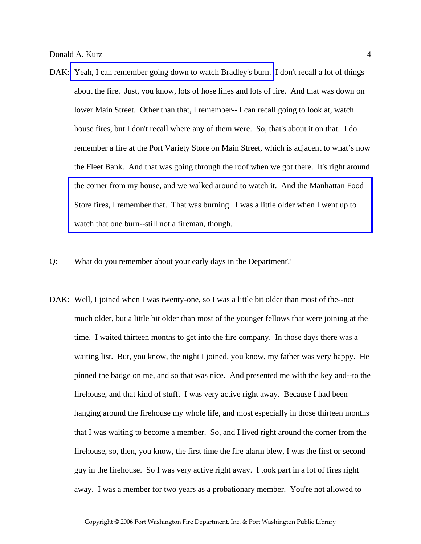- DAK: [Yeah, I can remember going down to watch Bradley's burn.](http://www.pwfdhistory.com/trans/kurzd_trans/peco_fires002.jpg) I don't recall a lot of things about the fire. Just, you know, lots of hose lines and lots of fire. And that was down on lower Main Street. Other than that, I remember-- I can recall going to look at, watch house fires, but I don't recall where any of them were. So, that's about it on that. I do remember a fire at the Port Variety Store on Main Street, which is adjacent to what's now the Fleet Bank. And that was going through the roof when we got there. It's right around [the corner from my house, and we walked around to watch it. And the Manhattan Food](http://www.pwfdhistory.com/trans/kurzd_trans/pwfd_news046_web.jpg)  Store fires, I remember that. That was burning. I was a little older when I went up to watch that one burn--still not a fireman, though.
- Q: What do you remember about your early days in the Department?
- DAK: Well, I joined when I was twenty-one, so I was a little bit older than most of the--not much older, but a little bit older than most of the younger fellows that were joining at the time. I waited thirteen months to get into the fire company. In those days there was a waiting list. But, you know, the night I joined, you know, my father was very happy. He pinned the badge on me, and so that was nice. And presented me with the key and--to the firehouse, and that kind of stuff. I was very active right away. Because I had been hanging around the firehouse my whole life, and most especially in those thirteen months that I was waiting to become a member. So, and I lived right around the corner from the firehouse, so, then, you know, the first time the fire alarm blew, I was the first or second guy in the firehouse. So I was very active right away. I took part in a lot of fires right away. I was a member for two years as a probationary member. You're not allowed to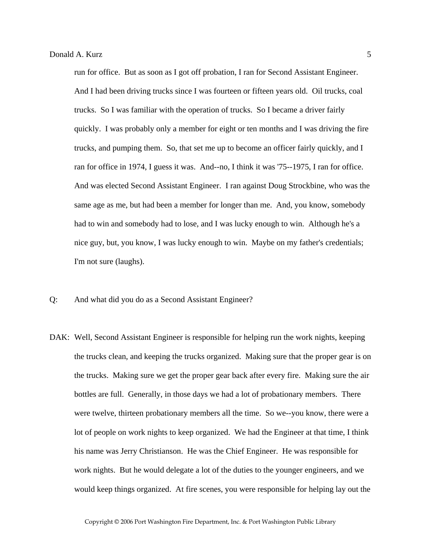run for office. But as soon as I got off probation, I ran for Second Assistant Engineer. And I had been driving trucks since I was fourteen or fifteen years old. Oil trucks, coal trucks. So I was familiar with the operation of trucks. So I became a driver fairly quickly. I was probably only a member for eight or ten months and I was driving the fire trucks, and pumping them. So, that set me up to become an officer fairly quickly, and I ran for office in 1974, I guess it was. And--no, I think it was '75--1975, I ran for office. And was elected Second Assistant Engineer. I ran against Doug Strockbine, who was the same age as me, but had been a member for longer than me. And, you know, somebody had to win and somebody had to lose, and I was lucky enough to win. Although he's a nice guy, but, you know, I was lucky enough to win. Maybe on my father's credentials; I'm not sure (laughs).

- Q: And what did you do as a Second Assistant Engineer?
- DAK: Well, Second Assistant Engineer is responsible for helping run the work nights, keeping the trucks clean, and keeping the trucks organized. Making sure that the proper gear is on the trucks. Making sure we get the proper gear back after every fire. Making sure the air bottles are full. Generally, in those days we had a lot of probationary members. There were twelve, thirteen probationary members all the time. So we--you know, there were a lot of people on work nights to keep organized. We had the Engineer at that time, I think his name was Jerry Christianson. He was the Chief Engineer. He was responsible for work nights. But he would delegate a lot of the duties to the younger engineers, and we would keep things organized. At fire scenes, you were responsible for helping lay out the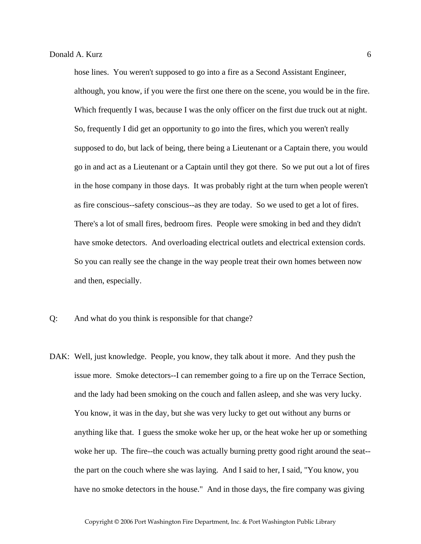hose lines. You weren't supposed to go into a fire as a Second Assistant Engineer, although, you know, if you were the first one there on the scene, you would be in the fire. Which frequently I was, because I was the only officer on the first due truck out at night. So, frequently I did get an opportunity to go into the fires, which you weren't really supposed to do, but lack of being, there being a Lieutenant or a Captain there, you would go in and act as a Lieutenant or a Captain until they got there. So we put out a lot of fires in the hose company in those days. It was probably right at the turn when people weren't as fire conscious--safety conscious--as they are today. So we used to get a lot of fires. There's a lot of small fires, bedroom fires. People were smoking in bed and they didn't have smoke detectors. And overloading electrical outlets and electrical extension cords. So you can really see the change in the way people treat their own homes between now and then, especially.

- Q: And what do you think is responsible for that change?
- DAK: Well, just knowledge. People, you know, they talk about it more. And they push the issue more. Smoke detectors--I can remember going to a fire up on the Terrace Section, and the lady had been smoking on the couch and fallen asleep, and she was very lucky. You know, it was in the day, but she was very lucky to get out without any burns or anything like that. I guess the smoke woke her up, or the heat woke her up or something woke her up. The fire--the couch was actually burning pretty good right around the seat-the part on the couch where she was laying. And I said to her, I said, "You know, you have no smoke detectors in the house." And in those days, the fire company was giving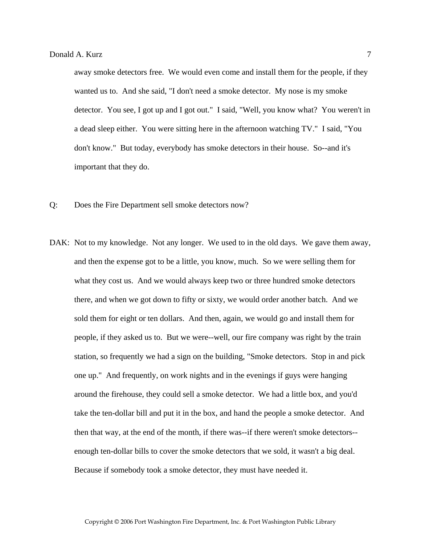away smoke detectors free. We would even come and install them for the people, if they wanted us to. And she said, "I don't need a smoke detector. My nose is my smoke detector. You see, I got up and I got out." I said, "Well, you know what? You weren't in a dead sleep either. You were sitting here in the afternoon watching TV." I said, "You don't know." But today, everybody has smoke detectors in their house. So--and it's important that they do.

- Q: Does the Fire Department sell smoke detectors now?
- DAK: Not to my knowledge. Not any longer. We used to in the old days. We gave them away, and then the expense got to be a little, you know, much. So we were selling them for what they cost us. And we would always keep two or three hundred smoke detectors there, and when we got down to fifty or sixty, we would order another batch. And we sold them for eight or ten dollars. And then, again, we would go and install them for people, if they asked us to. But we were--well, our fire company was right by the train station, so frequently we had a sign on the building, "Smoke detectors. Stop in and pick one up." And frequently, on work nights and in the evenings if guys were hanging around the firehouse, they could sell a smoke detector. We had a little box, and you'd take the ten-dollar bill and put it in the box, and hand the people a smoke detector. And then that way, at the end of the month, if there was--if there weren't smoke detectors- enough ten-dollar bills to cover the smoke detectors that we sold, it wasn't a big deal. Because if somebody took a smoke detector, they must have needed it.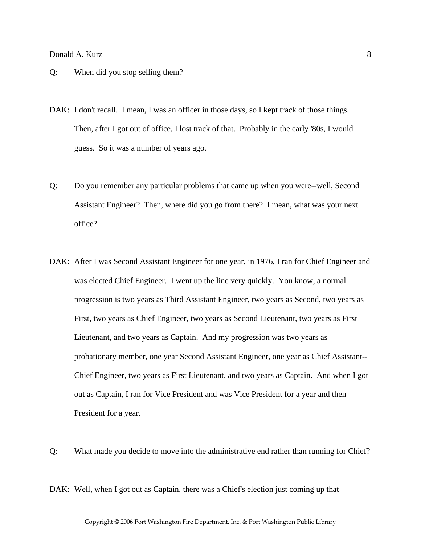# Donald A. Kurz 8

- Q: When did you stop selling them?
- DAK: I don't recall. I mean, I was an officer in those days, so I kept track of those things. Then, after I got out of office, I lost track of that. Probably in the early '80s, I would guess. So it was a number of years ago.
- Q: Do you remember any particular problems that came up when you were--well, Second Assistant Engineer? Then, where did you go from there? I mean, what was your next office?
- DAK: After I was Second Assistant Engineer for one year, in 1976, I ran for Chief Engineer and was elected Chief Engineer. I went up the line very quickly. You know, a normal progression is two years as Third Assistant Engineer, two years as Second, two years as First, two years as Chief Engineer, two years as Second Lieutenant, two years as First Lieutenant, and two years as Captain. And my progression was two years as probationary member, one year Second Assistant Engineer, one year as Chief Assistant-- Chief Engineer, two years as First Lieutenant, and two years as Captain. And when I got out as Captain, I ran for Vice President and was Vice President for a year and then President for a year.
- Q: What made you decide to move into the administrative end rather than running for Chief?

DAK: Well, when I got out as Captain, there was a Chief's election just coming up that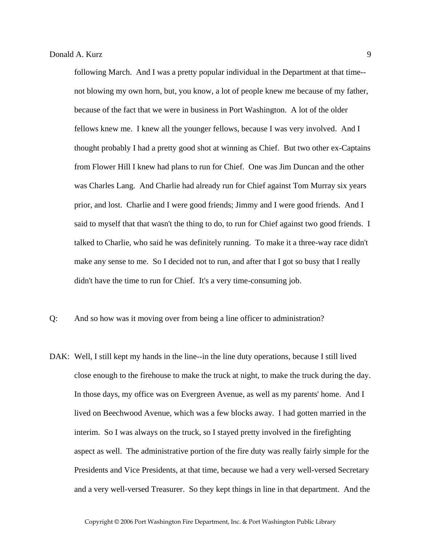following March. And I was a pretty popular individual in the Department at that time- not blowing my own horn, but, you know, a lot of people knew me because of my father, because of the fact that we were in business in Port Washington. A lot of the older fellows knew me. I knew all the younger fellows, because I was very involved. And I thought probably I had a pretty good shot at winning as Chief. But two other ex-Captains from Flower Hill I knew had plans to run for Chief. One was Jim Duncan and the other was Charles Lang. And Charlie had already run for Chief against Tom Murray six years prior, and lost. Charlie and I were good friends; Jimmy and I were good friends. And I said to myself that that wasn't the thing to do, to run for Chief against two good friends. I talked to Charlie, who said he was definitely running. To make it a three-way race didn't make any sense to me. So I decided not to run, and after that I got so busy that I really didn't have the time to run for Chief. It's a very time-consuming job.

- Q: And so how was it moving over from being a line officer to administration?
- DAK: Well, I still kept my hands in the line--in the line duty operations, because I still lived close enough to the firehouse to make the truck at night, to make the truck during the day. In those days, my office was on Evergreen Avenue, as well as my parents' home. And I lived on Beechwood Avenue, which was a few blocks away. I had gotten married in the interim. So I was always on the truck, so I stayed pretty involved in the firefighting aspect as well. The administrative portion of the fire duty was really fairly simple for the Presidents and Vice Presidents, at that time, because we had a very well-versed Secretary and a very well-versed Treasurer. So they kept things in line in that department. And the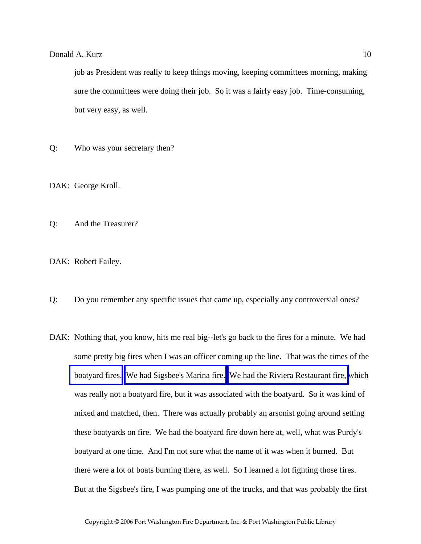job as President was really to keep things moving, keeping committees morning, making sure the committees were doing their job. So it was a fairly easy job. Time-consuming, but very easy, as well.

Q: Who was your secretary then?

DAK: George Kroll.

Q: And the Treasurer?

DAK: Robert Failey.

- Q: Do you remember any specific issues that came up, especially any controversial ones?
- DAK: Nothing that, you know, hits me real big--let's go back to the fires for a minute. We had some pretty big fires when I was an officer coming up the line. That was the times of the [boatyard fires.](http://www.pwfdhistory.com/trans/kurzd_trans/news_cocks252_web.jpg) [We had Sigsbee's Marina fire.](http://www.pwfdhistory.com/trans/kurzd_trans/news_cocks246a_web.jpg) [We had the Riviera Restaurant fire,](http://www.pwfdhistory.com/trans/kurzd_trans/pwfd_news005_web.jpg) which was really not a boatyard fire, but it was associated with the boatyard. So it was kind of mixed and matched, then. There was actually probably an arsonist going around setting these boatyards on fire. We had the boatyard fire down here at, well, what was Purdy's boatyard at one time. And I'm not sure what the name of it was when it burned. But there were a lot of boats burning there, as well. So I learned a lot fighting those fires. But at the Sigsbee's fire, I was pumping one of the trucks, and that was probably the first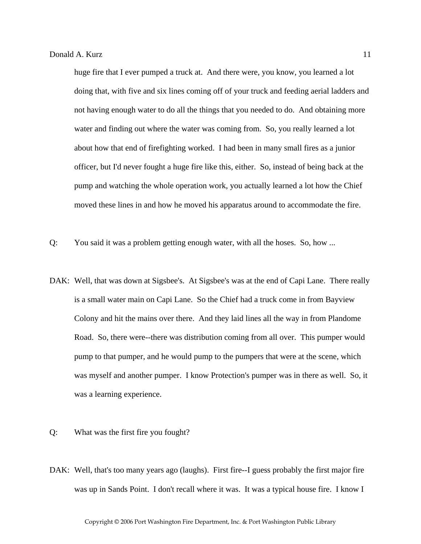huge fire that I ever pumped a truck at. And there were, you know, you learned a lot doing that, with five and six lines coming off of your truck and feeding aerial ladders and not having enough water to do all the things that you needed to do. And obtaining more water and finding out where the water was coming from. So, you really learned a lot about how that end of firefighting worked. I had been in many small fires as a junior officer, but I'd never fought a huge fire like this, either. So, instead of being back at the pump and watching the whole operation work, you actually learned a lot how the Chief moved these lines in and how he moved his apparatus around to accommodate the fire.

- Q: You said it was a problem getting enough water, with all the hoses. So, how ...
- DAK: Well, that was down at Sigsbee's. At Sigsbee's was at the end of Capi Lane. There really is a small water main on Capi Lane. So the Chief had a truck come in from Bayview Colony and hit the mains over there. And they laid lines all the way in from Plandome Road. So, there were--there was distribution coming from all over. This pumper would pump to that pumper, and he would pump to the pumpers that were at the scene, which was myself and another pumper. I know Protection's pumper was in there as well. So, it was a learning experience.
- Q: What was the first fire you fought?
- DAK: Well, that's too many years ago (laughs). First fire--I guess probably the first major fire was up in Sands Point. I don't recall where it was. It was a typical house fire. I know I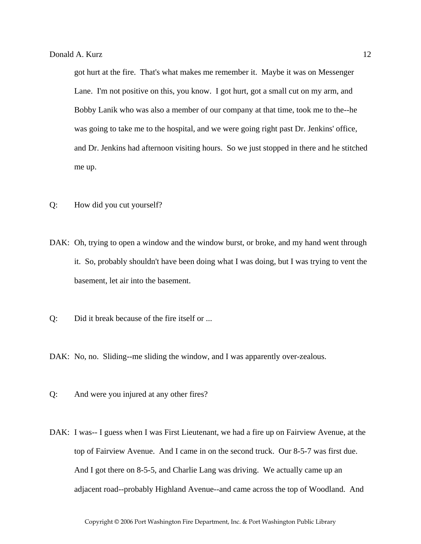got hurt at the fire. That's what makes me remember it. Maybe it was on Messenger Lane. I'm not positive on this, you know. I got hurt, got a small cut on my arm, and Bobby Lanik who was also a member of our company at that time, took me to the--he was going to take me to the hospital, and we were going right past Dr. Jenkins' office, and Dr. Jenkins had afternoon visiting hours. So we just stopped in there and he stitched me up.

- Q: How did you cut yourself?
- DAK: Oh, trying to open a window and the window burst, or broke, and my hand went through it. So, probably shouldn't have been doing what I was doing, but I was trying to vent the basement, let air into the basement.
- Q: Did it break because of the fire itself or ...
- DAK: No, no. Sliding--me sliding the window, and I was apparently over-zealous.
- Q: And were you injured at any other fires?
- DAK: I was-- I guess when I was First Lieutenant, we had a fire up on Fairview Avenue, at the top of Fairview Avenue. And I came in on the second truck. Our 8-5-7 was first due. And I got there on 8-5-5, and Charlie Lang was driving. We actually came up an adjacent road--probably Highland Avenue--and came across the top of Woodland. And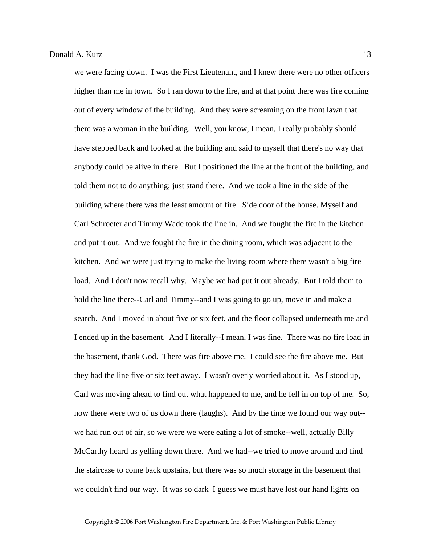we were facing down. I was the First Lieutenant, and I knew there were no other officers higher than me in town. So I ran down to the fire, and at that point there was fire coming out of every window of the building. And they were screaming on the front lawn that there was a woman in the building. Well, you know, I mean, I really probably should have stepped back and looked at the building and said to myself that there's no way that anybody could be alive in there. But I positioned the line at the front of the building, and told them not to do anything; just stand there. And we took a line in the side of the building where there was the least amount of fire. Side door of the house. Myself and Carl Schroeter and Timmy Wade took the line in. And we fought the fire in the kitchen and put it out. And we fought the fire in the dining room, which was adjacent to the kitchen. And we were just trying to make the living room where there wasn't a big fire load. And I don't now recall why. Maybe we had put it out already. But I told them to hold the line there--Carl and Timmy--and I was going to go up, move in and make a search. And I moved in about five or six feet, and the floor collapsed underneath me and I ended up in the basement. And I literally--I mean, I was fine. There was no fire load in the basement, thank God. There was fire above me. I could see the fire above me. But they had the line five or six feet away. I wasn't overly worried about it. As I stood up, Carl was moving ahead to find out what happened to me, and he fell in on top of me. So, now there were two of us down there (laughs). And by the time we found our way out- we had run out of air, so we were we were eating a lot of smoke--well, actually Billy McCarthy heard us yelling down there. And we had--we tried to move around and find the staircase to come back upstairs, but there was so much storage in the basement that we couldn't find our way. It was so dark I guess we must have lost our hand lights on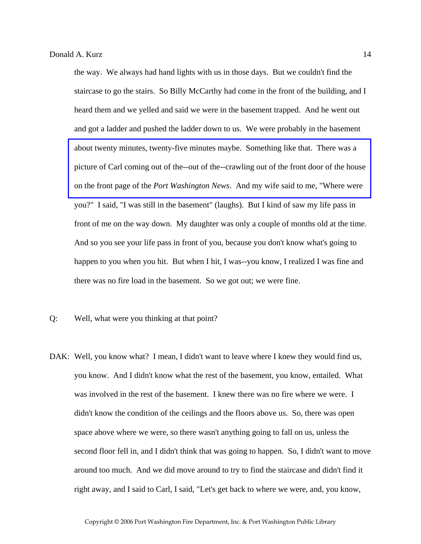the way. We always had hand lights with us in those days. But we couldn't find the staircase to go the stairs. So Billy McCarthy had come in the front of the building, and I heard them and we yelled and said we were in the basement trapped. And he went out and got a ladder and pushed the ladder down to us. We were probably in the basement about twenty minutes, twenty-five minutes maybe. Something like that. There was a [picture of Carl coming out of the--out of the--crawling out of the front door of the house](http://www.pwfdhistory.com/trans/kurzd_trans/pnews_771208_hw.pdf)  on the front page of the *Port Washington News*. And my wife said to me, "Where were you?" I said, "I was still in the basement" (laughs). But I kind of saw my life pass in front of me on the way down. My daughter was only a couple of months old at the time. And so you see your life pass in front of you, because you don't know what's going to happen to you when you hit. But when I hit, I was--you know, I realized I was fine and there was no fire load in the basement. So we got out; we were fine.

- Q: Well, what were you thinking at that point?
- DAK: Well, you know what? I mean, I didn't want to leave where I knew they would find us, you know. And I didn't know what the rest of the basement, you know, entailed. What was involved in the rest of the basement. I knew there was no fire where we were. I didn't know the condition of the ceilings and the floors above us. So, there was open space above where we were, so there wasn't anything going to fall on us, unless the second floor fell in, and I didn't think that was going to happen. So, I didn't want to move around too much. And we did move around to try to find the staircase and didn't find it right away, and I said to Carl, I said, "Let's get back to where we were, and, you know,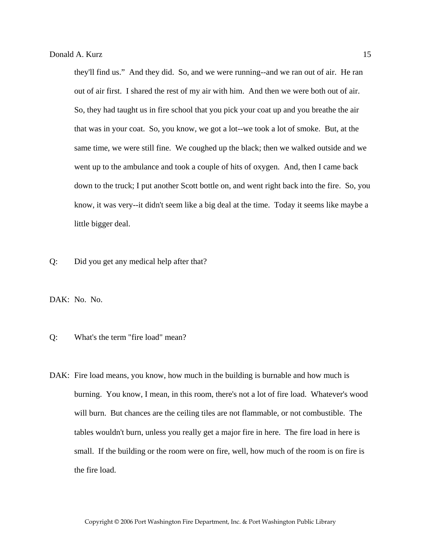they'll find us." And they did. So, and we were running--and we ran out of air. He ran out of air first. I shared the rest of my air with him. And then we were both out of air. So, they had taught us in fire school that you pick your coat up and you breathe the air that was in your coat. So, you know, we got a lot--we took a lot of smoke. But, at the same time, we were still fine. We coughed up the black; then we walked outside and we went up to the ambulance and took a couple of hits of oxygen. And, then I came back down to the truck; I put another Scott bottle on, and went right back into the fire. So, you know, it was very--it didn't seem like a big deal at the time. Today it seems like maybe a little bigger deal.

Q: Did you get any medical help after that?

DAK: No. No.

- Q: What's the term "fire load" mean?
- DAK: Fire load means, you know, how much in the building is burnable and how much is burning. You know, I mean, in this room, there's not a lot of fire load. Whatever's wood will burn. But chances are the ceiling tiles are not flammable, or not combustible. The tables wouldn't burn, unless you really get a major fire in here. The fire load in here is small. If the building or the room were on fire, well, how much of the room is on fire is the fire load.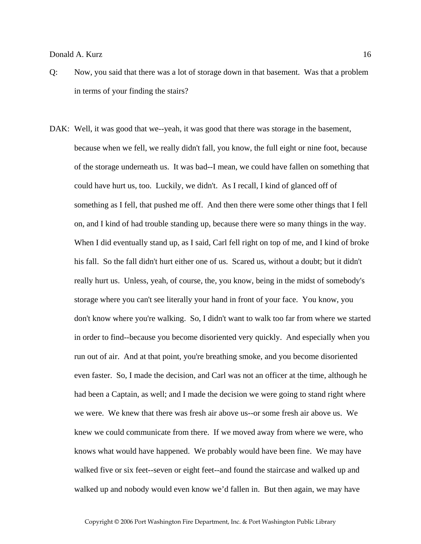## Donald A. Kurz 16

- Q: Now, you said that there was a lot of storage down in that basement. Was that a problem in terms of your finding the stairs?
- DAK: Well, it was good that we--yeah, it was good that there was storage in the basement, because when we fell, we really didn't fall, you know, the full eight or nine foot, because of the storage underneath us. It was bad--I mean, we could have fallen on something that could have hurt us, too. Luckily, we didn't. As I recall, I kind of glanced off of something as I fell, that pushed me off. And then there were some other things that I fell on, and I kind of had trouble standing up, because there were so many things in the way. When I did eventually stand up, as I said, Carl fell right on top of me, and I kind of broke his fall. So the fall didn't hurt either one of us. Scared us, without a doubt; but it didn't really hurt us. Unless, yeah, of course, the, you know, being in the midst of somebody's storage where you can't see literally your hand in front of your face. You know, you don't know where you're walking. So, I didn't want to walk too far from where we started in order to find--because you become disoriented very quickly. And especially when you run out of air. And at that point, you're breathing smoke, and you become disoriented even faster. So, I made the decision, and Carl was not an officer at the time, although he had been a Captain, as well; and I made the decision we were going to stand right where we were. We knew that there was fresh air above us--or some fresh air above us. We knew we could communicate from there. If we moved away from where we were, who knows what would have happened. We probably would have been fine. We may have walked five or six feet--seven or eight feet--and found the staircase and walked up and walked up and nobody would even know we'd fallen in. But then again, we may have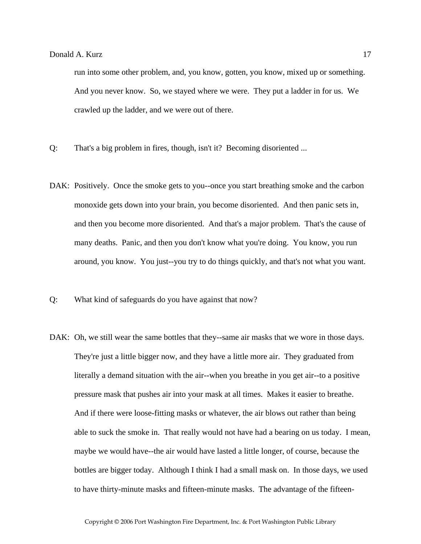run into some other problem, and, you know, gotten, you know, mixed up or something. And you never know. So, we stayed where we were. They put a ladder in for us. We crawled up the ladder, and we were out of there.

- Q: That's a big problem in fires, though, isn't it? Becoming disoriented ...
- DAK: Positively. Once the smoke gets to you--once you start breathing smoke and the carbon monoxide gets down into your brain, you become disoriented. And then panic sets in, and then you become more disoriented. And that's a major problem. That's the cause of many deaths. Panic, and then you don't know what you're doing. You know, you run around, you know. You just--you try to do things quickly, and that's not what you want.
- Q: What kind of safeguards do you have against that now?
- DAK: Oh, we still wear the same bottles that they--same air masks that we wore in those days. They're just a little bigger now, and they have a little more air. They graduated from literally a demand situation with the air--when you breathe in you get air--to a positive pressure mask that pushes air into your mask at all times. Makes it easier to breathe. And if there were loose-fitting masks or whatever, the air blows out rather than being able to suck the smoke in. That really would not have had a bearing on us today. I mean, maybe we would have--the air would have lasted a little longer, of course, because the bottles are bigger today. Although I think I had a small mask on. In those days, we used to have thirty-minute masks and fifteen-minute masks. The advantage of the fifteen-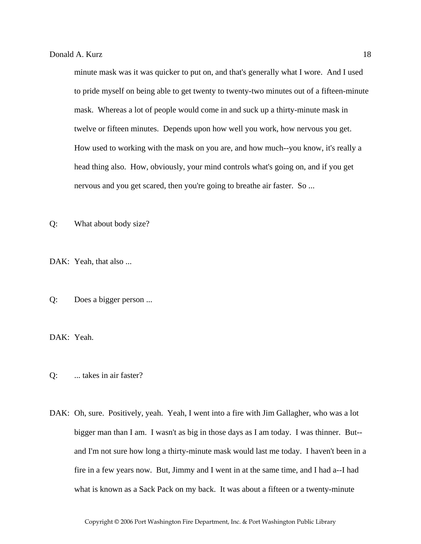minute mask was it was quicker to put on, and that's generally what I wore. And I used to pride myself on being able to get twenty to twenty-two minutes out of a fifteen-minute mask. Whereas a lot of people would come in and suck up a thirty-minute mask in twelve or fifteen minutes. Depends upon how well you work, how nervous you get. How used to working with the mask on you are, and how much--you know, it's really a head thing also. How, obviously, your mind controls what's going on, and if you get nervous and you get scared, then you're going to breathe air faster. So ...

Q: What about body size?

DAK: Yeah, that also ...

Q: Does a bigger person ...

DAK: Yeah.

Q: ... takes in air faster?

DAK: Oh, sure. Positively, yeah. Yeah, I went into a fire with Jim Gallagher, who was a lot bigger man than I am. I wasn't as big in those days as I am today. I was thinner. But- and I'm not sure how long a thirty-minute mask would last me today. I haven't been in a fire in a few years now. But, Jimmy and I went in at the same time, and I had a--I had what is known as a Sack Pack on my back. It was about a fifteen or a twenty-minute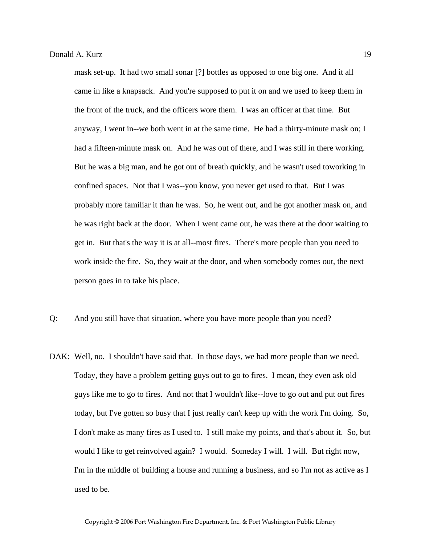mask set-up. It had two small sonar [?] bottles as opposed to one big one. And it all came in like a knapsack. And you're supposed to put it on and we used to keep them in the front of the truck, and the officers wore them. I was an officer at that time. But anyway, I went in--we both went in at the same time. He had a thirty-minute mask on; I had a fifteen-minute mask on. And he was out of there, and I was still in there working. But he was a big man, and he got out of breath quickly, and he wasn't used toworking in confined spaces. Not that I was--you know, you never get used to that. But I was probably more familiar it than he was. So, he went out, and he got another mask on, and he was right back at the door. When I went came out, he was there at the door waiting to get in. But that's the way it is at all--most fires. There's more people than you need to work inside the fire. So, they wait at the door, and when somebody comes out, the next person goes in to take his place.

- Q: And you still have that situation, where you have more people than you need?
- DAK: Well, no. I shouldn't have said that. In those days, we had more people than we need. Today, they have a problem getting guys out to go to fires. I mean, they even ask old guys like me to go to fires. And not that I wouldn't like--love to go out and put out fires today, but I've gotten so busy that I just really can't keep up with the work I'm doing. So, I don't make as many fires as I used to. I still make my points, and that's about it. So, but would I like to get reinvolved again? I would. Someday I will. I will. But right now, I'm in the middle of building a house and running a business, and so I'm not as active as I used to be.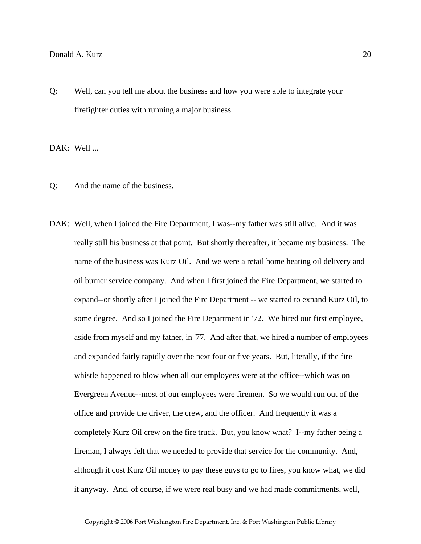## Donald A. Kurz 20

Q: Well, can you tell me about the business and how you were able to integrate your firefighter duties with running a major business.

DAK: Well ...

- Q: And the name of the business.
- DAK: Well, when I joined the Fire Department, I was--my father was still alive. And it was really still his business at that point. But shortly thereafter, it became my business. The name of the business was Kurz Oil. And we were a retail home heating oil delivery and oil burner service company. And when I first joined the Fire Department, we started to expand--or shortly after I joined the Fire Department -- we started to expand Kurz Oil, to some degree. And so I joined the Fire Department in '72. We hired our first employee, aside from myself and my father, in '77. And after that, we hired a number of employees and expanded fairly rapidly over the next four or five years. But, literally, if the fire whistle happened to blow when all our employees were at the office--which was on Evergreen Avenue--most of our employees were firemen. So we would run out of the office and provide the driver, the crew, and the officer. And frequently it was a completely Kurz Oil crew on the fire truck. But, you know what? I--my father being a fireman, I always felt that we needed to provide that service for the community. And, although it cost Kurz Oil money to pay these guys to go to fires, you know what, we did it anyway. And, of course, if we were real busy and we had made commitments, well,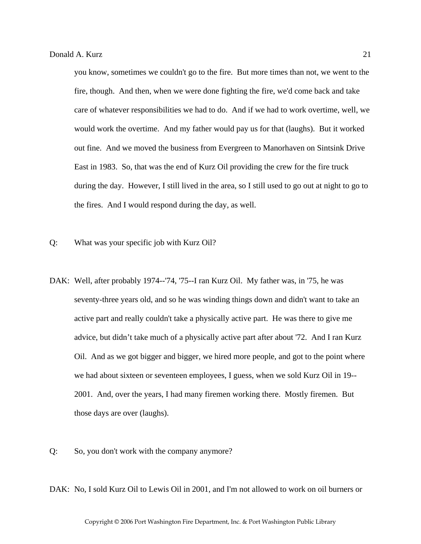you know, sometimes we couldn't go to the fire. But more times than not, we went to the fire, though. And then, when we were done fighting the fire, we'd come back and take care of whatever responsibilities we had to do. And if we had to work overtime, well, we would work the overtime. And my father would pay us for that (laughs). But it worked out fine. And we moved the business from Evergreen to Manorhaven on Sintsink Drive East in 1983. So, that was the end of Kurz Oil providing the crew for the fire truck during the day. However, I still lived in the area, so I still used to go out at night to go to the fires. And I would respond during the day, as well.

- Q: What was your specific job with Kurz Oil?
- DAK: Well, after probably 1974--'74, '75--I ran Kurz Oil. My father was, in '75, he was seventy-three years old, and so he was winding things down and didn't want to take an active part and really couldn't take a physically active part. He was there to give me advice, but didn't take much of a physically active part after about '72. And I ran Kurz Oil. And as we got bigger and bigger, we hired more people, and got to the point where we had about sixteen or seventeen employees, I guess, when we sold Kurz Oil in 19-- 2001. And, over the years, I had many firemen working there. Mostly firemen. But those days are over (laughs).
- Q: So, you don't work with the company anymore?

DAK: No, I sold Kurz Oil to Lewis Oil in 2001, and I'm not allowed to work on oil burners or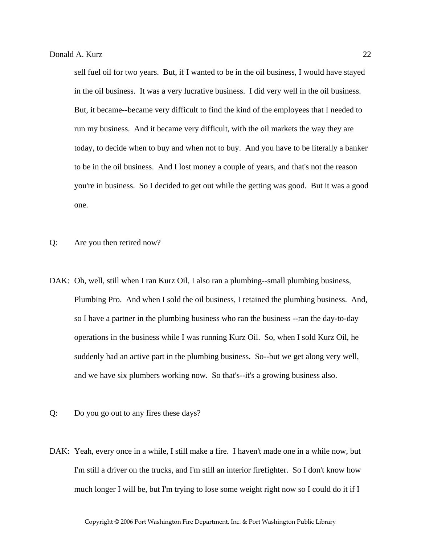sell fuel oil for two years. But, if I wanted to be in the oil business, I would have stayed in the oil business. It was a very lucrative business. I did very well in the oil business. But, it became--became very difficult to find the kind of the employees that I needed to run my business. And it became very difficult, with the oil markets the way they are today, to decide when to buy and when not to buy. And you have to be literally a banker to be in the oil business. And I lost money a couple of years, and that's not the reason you're in business. So I decided to get out while the getting was good. But it was a good one.

- Q: Are you then retired now?
- DAK: Oh, well, still when I ran Kurz Oil, I also ran a plumbing--small plumbing business, Plumbing Pro. And when I sold the oil business, I retained the plumbing business. And, so I have a partner in the plumbing business who ran the business --ran the day-to-day operations in the business while I was running Kurz Oil. So, when I sold Kurz Oil, he suddenly had an active part in the plumbing business. So--but we get along very well, and we have six plumbers working now. So that's--it's a growing business also.
- Q: Do you go out to any fires these days?
- DAK: Yeah, every once in a while, I still make a fire. I haven't made one in a while now, but I'm still a driver on the trucks, and I'm still an interior firefighter. So I don't know how much longer I will be, but I'm trying to lose some weight right now so I could do it if I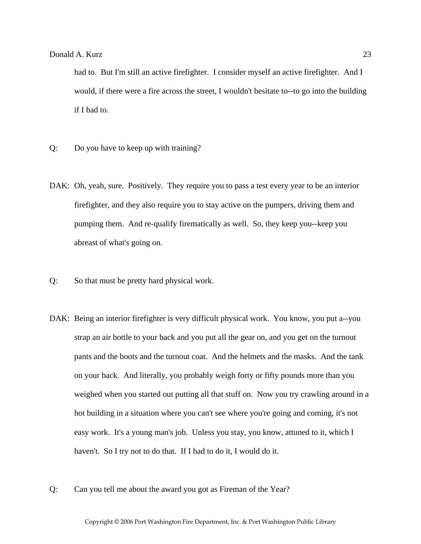had to. But I'm still an active firefighter. I consider myself an active firefighter. And I would, if there were a fire across the street, I wouldn't hesitate to--to go into the building if I had to.

- Q: Do you have to keep up with training?
- DAK: Oh, yeah, sure. Positively. They require you to pass a test every year to be an interior firefighter, and they also require you to stay active on the pumpers, driving them and pumping them. And re-qualify firematically as well. So, they keep you--keep you abreast of what's going on.
- Q: So that must be pretty hard physical work.
- DAK: Being an interior firefighter is very difficult physical work. You know, you put a--you strap an air bottle to your back and you put all the gear on, and you get on the turnout pants and the boots and the turnout coat. And the helmets and the masks. And the tank on your back. And literally, you probably weigh forty or fifty pounds more than you weighed when you started out putting all that stuff on. Now you try crawling around in a hot building in a situation where you can't see where you're going and coming, it's not easy work. It's a young man's job. Unless you stay, you know, attuned to it, which I haven't. So I try not to do that. If I had to do it, I would do it.
- Q: Can you tell me about the award you got as Fireman of the Year?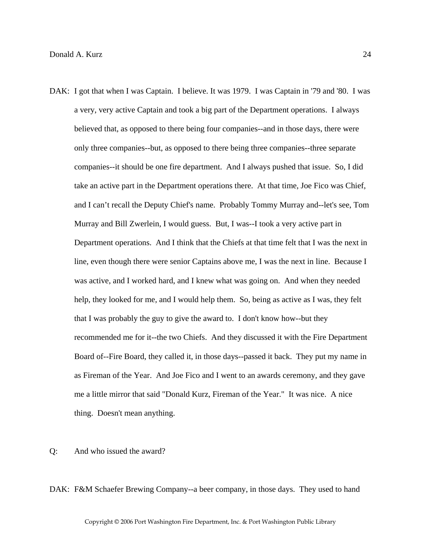- DAK: I got that when I was Captain. I believe. It was 1979. I was Captain in '79 and '80. I was a very, very active Captain and took a big part of the Department operations. I always believed that, as opposed to there being four companies--and in those days, there were only three companies--but, as opposed to there being three companies--three separate companies--it should be one fire department. And I always pushed that issue. So, I did take an active part in the Department operations there. At that time, Joe Fico was Chief, and I can't recall the Deputy Chief's name. Probably Tommy Murray and--let's see, Tom Murray and Bill Zwerlein, I would guess. But, I was--I took a very active part in Department operations. And I think that the Chiefs at that time felt that I was the next in line, even though there were senior Captains above me, I was the next in line. Because I was active, and I worked hard, and I knew what was going on. And when they needed help, they looked for me, and I would help them. So, being as active as I was, they felt that I was probably the guy to give the award to. I don't know how--but they recommended me for it--the two Chiefs. And they discussed it with the Fire Department Board of--Fire Board, they called it, in those days--passed it back. They put my name in as Fireman of the Year. And Joe Fico and I went to an awards ceremony, and they gave me a little mirror that said "Donald Kurz, Fireman of the Year." It was nice. A nice thing. Doesn't mean anything.
- Q: And who issued the award?

DAK: F&M Schaefer Brewing Company--a beer company, in those days. They used to hand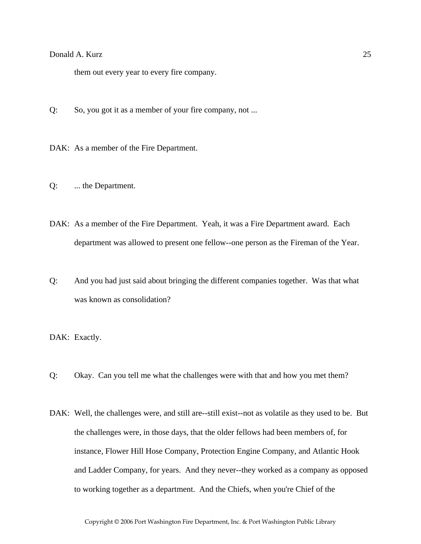# Donald A. Kurz 25

them out every year to every fire company.

- Q: So, you got it as a member of your fire company, not ...
- DAK: As a member of the Fire Department.
- Q: ... the Department.
- DAK: As a member of the Fire Department. Yeah, it was a Fire Department award. Each department was allowed to present one fellow--one person as the Fireman of the Year.
- Q: And you had just said about bringing the different companies together. Was that what was known as consolidation?

DAK: Exactly.

- Q: Okay. Can you tell me what the challenges were with that and how you met them?
- DAK: Well, the challenges were, and still are--still exist--not as volatile as they used to be. But the challenges were, in those days, that the older fellows had been members of, for instance, Flower Hill Hose Company, Protection Engine Company, and Atlantic Hook and Ladder Company, for years. And they never--they worked as a company as opposed to working together as a department. And the Chiefs, when you're Chief of the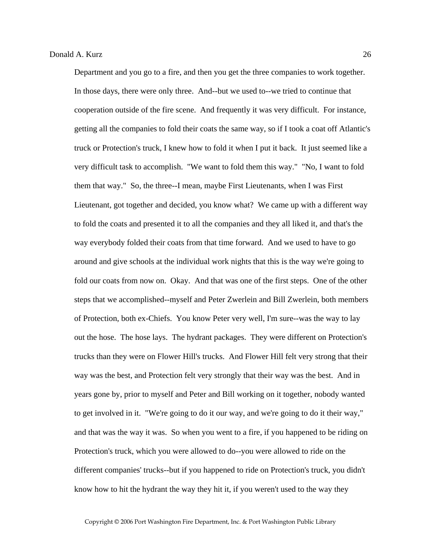Department and you go to a fire, and then you get the three companies to work together. In those days, there were only three. And--but we used to--we tried to continue that cooperation outside of the fire scene. And frequently it was very difficult. For instance, getting all the companies to fold their coats the same way, so if I took a coat off Atlantic's truck or Protection's truck, I knew how to fold it when I put it back. It just seemed like a very difficult task to accomplish. "We want to fold them this way." "No, I want to fold them that way." So, the three--I mean, maybe First Lieutenants, when I was First Lieutenant, got together and decided, you know what? We came up with a different way to fold the coats and presented it to all the companies and they all liked it, and that's the way everybody folded their coats from that time forward. And we used to have to go around and give schools at the individual work nights that this is the way we're going to fold our coats from now on. Okay. And that was one of the first steps. One of the other steps that we accomplished--myself and Peter Zwerlein and Bill Zwerlein, both members of Protection, both ex-Chiefs. You know Peter very well, I'm sure--was the way to lay out the hose. The hose lays. The hydrant packages. They were different on Protection's trucks than they were on Flower Hill's trucks. And Flower Hill felt very strong that their way was the best, and Protection felt very strongly that their way was the best. And in years gone by, prior to myself and Peter and Bill working on it together, nobody wanted to get involved in it. "We're going to do it our way, and we're going to do it their way," and that was the way it was. So when you went to a fire, if you happened to be riding on Protection's truck, which you were allowed to do--you were allowed to ride on the different companies' trucks--but if you happened to ride on Protection's truck, you didn't know how to hit the hydrant the way they hit it, if you weren't used to the way they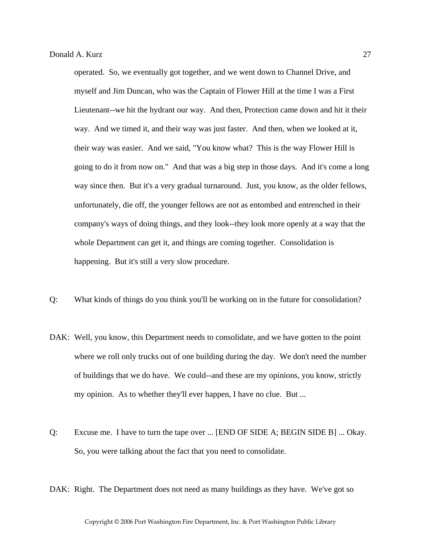operated. So, we eventually got together, and we went down to Channel Drive, and myself and Jim Duncan, who was the Captain of Flower Hill at the time I was a First Lieutenant--we hit the hydrant our way. And then, Protection came down and hit it their way. And we timed it, and their way was just faster. And then, when we looked at it, their way was easier. And we said, "You know what? This is the way Flower Hill is going to do it from now on." And that was a big step in those days. And it's come a long way since then. But it's a very gradual turnaround. Just, you know, as the older fellows, unfortunately, die off, the younger fellows are not as entombed and entrenched in their company's ways of doing things, and they look--they look more openly at a way that the whole Department can get it, and things are coming together. Consolidation is happening. But it's still a very slow procedure.

- Q: What kinds of things do you think you'll be working on in the future for consolidation?
- DAK: Well, you know, this Department needs to consolidate, and we have gotten to the point where we roll only trucks out of one building during the day. We don't need the number of buildings that we do have. We could--and these are my opinions, you know, strictly my opinion. As to whether they'll ever happen, I have no clue. But ...
- Q: Excuse me. I have to turn the tape over ... [END OF SIDE A; BEGIN SIDE B] ... Okay. So, you were talking about the fact that you need to consolidate.
- DAK: Right. The Department does not need as many buildings as they have. We've got so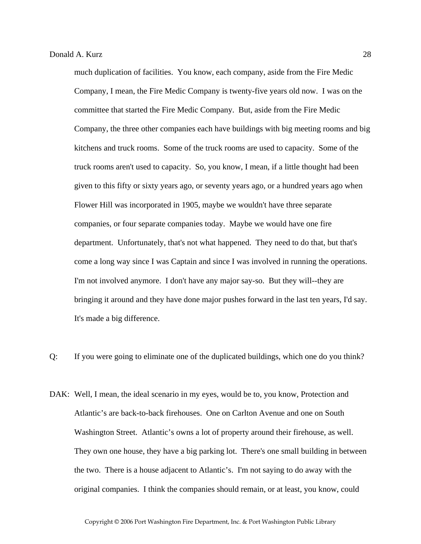much duplication of facilities. You know, each company, aside from the Fire Medic Company, I mean, the Fire Medic Company is twenty-five years old now. I was on the committee that started the Fire Medic Company. But, aside from the Fire Medic Company, the three other companies each have buildings with big meeting rooms and big kitchens and truck rooms. Some of the truck rooms are used to capacity. Some of the truck rooms aren't used to capacity. So, you know, I mean, if a little thought had been given to this fifty or sixty years ago, or seventy years ago, or a hundred years ago when Flower Hill was incorporated in 1905, maybe we wouldn't have three separate companies, or four separate companies today. Maybe we would have one fire department. Unfortunately, that's not what happened. They need to do that, but that's come a long way since I was Captain and since I was involved in running the operations. I'm not involved anymore. I don't have any major say-so. But they will--they are bringing it around and they have done major pushes forward in the last ten years, I'd say. It's made a big difference.

Q: If you were going to eliminate one of the duplicated buildings, which one do you think?

DAK: Well, I mean, the ideal scenario in my eyes, would be to, you know, Protection and Atlantic's are back-to-back firehouses. One on Carlton Avenue and one on South Washington Street. Atlantic's owns a lot of property around their firehouse, as well. They own one house, they have a big parking lot. There's one small building in between the two. There is a house adjacent to Atlantic's. I'm not saying to do away with the original companies. I think the companies should remain, or at least, you know, could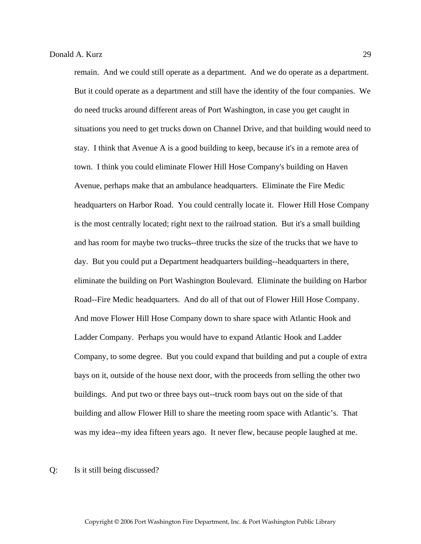remain. And we could still operate as a department. And we do operate as a department. But it could operate as a department and still have the identity of the four companies. We do need trucks around different areas of Port Washington, in case you get caught in situations you need to get trucks down on Channel Drive, and that building would need to stay. I think that Avenue A is a good building to keep, because it's in a remote area of town. I think you could eliminate Flower Hill Hose Company's building on Haven Avenue, perhaps make that an ambulance headquarters. Eliminate the Fire Medic headquarters on Harbor Road. You could centrally locate it. Flower Hill Hose Company is the most centrally located; right next to the railroad station. But it's a small building and has room for maybe two trucks--three trucks the size of the trucks that we have to day. But you could put a Department headquarters building--headquarters in there, eliminate the building on Port Washington Boulevard. Eliminate the building on Harbor Road--Fire Medic headquarters. And do all of that out of Flower Hill Hose Company. And move Flower Hill Hose Company down to share space with Atlantic Hook and Ladder Company. Perhaps you would have to expand Atlantic Hook and Ladder Company, to some degree. But you could expand that building and put a couple of extra bays on it, outside of the house next door, with the proceeds from selling the other two buildings. And put two or three bays out--truck room bays out on the side of that building and allow Flower Hill to share the meeting room space with Atlantic's. That was my idea--my idea fifteen years ago. It never flew, because people laughed at me.

#### Q: Is it still being discussed?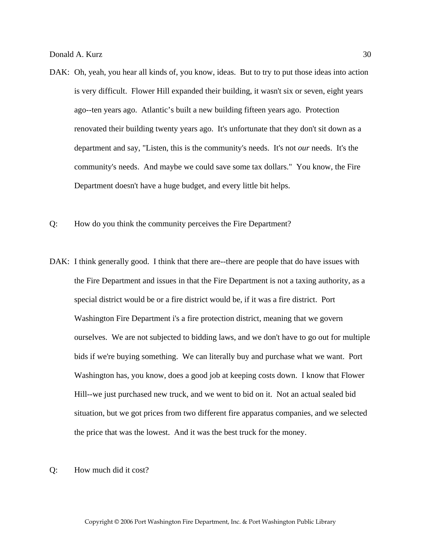- DAK: Oh, yeah, you hear all kinds of, you know, ideas. But to try to put those ideas into action is very difficult. Flower Hill expanded their building, it wasn't six or seven, eight years ago--ten years ago. Atlantic's built a new building fifteen years ago. Protection renovated their building twenty years ago. It's unfortunate that they don't sit down as a department and say, "Listen, this is the community's needs. It's not *our* needs. It's the community's needs. And maybe we could save some tax dollars." You know, the Fire Department doesn't have a huge budget, and every little bit helps.
- Q: How do you think the community perceives the Fire Department?
- DAK: I think generally good. I think that there are--there are people that do have issues with the Fire Department and issues in that the Fire Department is not a taxing authority, as a special district would be or a fire district would be, if it was a fire district. Port Washington Fire Department i's a fire protection district, meaning that we govern ourselves. We are not subjected to bidding laws, and we don't have to go out for multiple bids if we're buying something. We can literally buy and purchase what we want. Port Washington has, you know, does a good job at keeping costs down. I know that Flower Hill--we just purchased new truck, and we went to bid on it. Not an actual sealed bid situation, but we got prices from two different fire apparatus companies, and we selected the price that was the lowest. And it was the best truck for the money.
- Q: How much did it cost?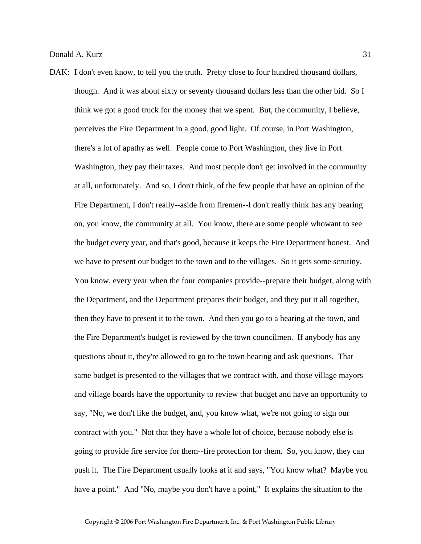DAK: I don't even know, to tell you the truth. Pretty close to four hundred thousand dollars, though. And it was about sixty or seventy thousand dollars less than the other bid. So I think we got a good truck for the money that we spent. But, the community, I believe, perceives the Fire Department in a good, good light. Of course, in Port Washington, there's a lot of apathy as well. People come to Port Washington, they live in Port Washington, they pay their taxes. And most people don't get involved in the community at all, unfortunately. And so, I don't think, of the few people that have an opinion of the Fire Department, I don't really--aside from firemen--I don't really think has any bearing on, you know, the community at all. You know, there are some people whowant to see the budget every year, and that's good, because it keeps the Fire Department honest. And we have to present our budget to the town and to the villages. So it gets some scrutiny. You know, every year when the four companies provide--prepare their budget, along with the Department, and the Department prepares their budget, and they put it all together, then they have to present it to the town. And then you go to a hearing at the town, and the Fire Department's budget is reviewed by the town councilmen. If anybody has any questions about it, they're allowed to go to the town hearing and ask questions. That same budget is presented to the villages that we contract with, and those village mayors and village boards have the opportunity to review that budget and have an opportunity to say, "No, we don't like the budget, and, you know what, we're not going to sign our contract with you." Not that they have a whole lot of choice, because nobody else is going to provide fire service for them--fire protection for them. So, you know, they can push it. The Fire Department usually looks at it and says, "You know what? Maybe you have a point." And "No, maybe you don't have a point," It explains the situation to the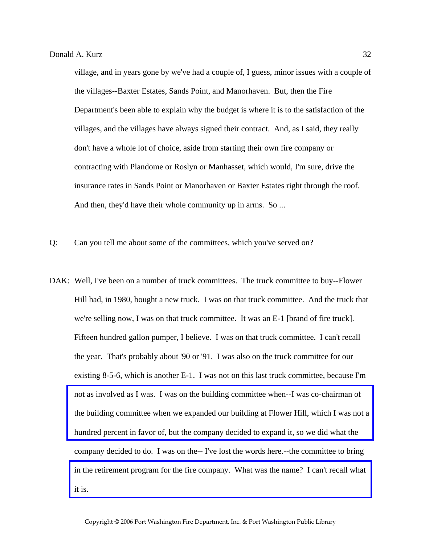village, and in years gone by we've had a couple of, I guess, minor issues with a couple of the villages--Baxter Estates, Sands Point, and Manorhaven. But, then the Fire Department's been able to explain why the budget is where it is to the satisfaction of the villages, and the villages have always signed their contract. And, as I said, they really don't have a whole lot of choice, aside from starting their own fire company or contracting with Plandome or Roslyn or Manhasset, which would, I'm sure, drive the insurance rates in Sands Point or Manorhaven or Baxter Estates right through the roof. And then, they'd have their whole community up in arms. So ...

Q: Can you tell me about some of the committees, which you've served on?

DAK: Well, I've been on a number of truck committees. The truck committee to buy--Flower Hill had, in 1980, bought a new truck. I was on that truck committee. And the truck that we're selling now, I was on that truck committee. It was an E-1 [brand of fire truck]. Fifteen hundred gallon pumper, I believe. I was on that truck committee. I can't recall the year. That's probably about '90 or '91. I was also on the truck committee for our existing 8-5-6, which is another E-1. I was not on this last truck committee, because I'm not as involved as I was. I was on the building committee when--I was co-chairman of [the building committee when we expanded our building at Flower Hill, which I was not a](http://www.pwfdhistory.com/trans/kurzd_trans/pnews_970220_hw.pdf)  hundred percent in favor of, but the company decided to expand it, so we did what the company decided to do. I was on the-- I've lost the words here.--the committee to bring [in the retirement program for the fire company. What was the name? I can't recall what](http://www.pwfdhistory.com/trans/kurzd_trans/losap.pdf)  it is.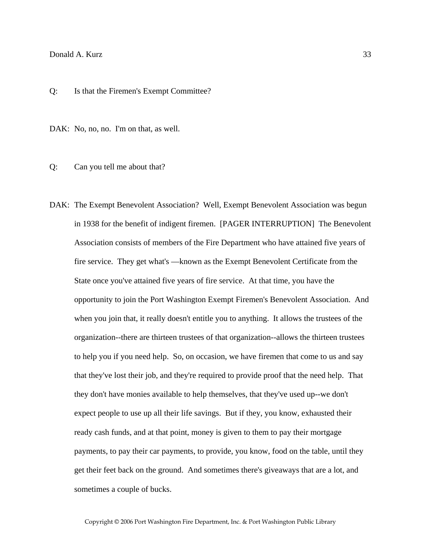## Donald A. Kurz 33

Q: Is that the Firemen's Exempt Committee?

DAK: No, no, no. I'm on that, as well.

Q: Can you tell me about that?

DAK: The Exempt Benevolent Association? Well, Exempt Benevolent Association was begun in 1938 for the benefit of indigent firemen. [PAGER INTERRUPTION] The Benevolent Association consists of members of the Fire Department who have attained five years of fire service. They get what's —known as the Exempt Benevolent Certificate from the State once you've attained five years of fire service. At that time, you have the opportunity to join the Port Washington Exempt Firemen's Benevolent Association. And when you join that, it really doesn't entitle you to anything. It allows the trustees of the organization--there are thirteen trustees of that organization--allows the thirteen trustees to help you if you need help. So, on occasion, we have firemen that come to us and say that they've lost their job, and they're required to provide proof that the need help. That they don't have monies available to help themselves, that they've used up--we don't expect people to use up all their life savings. But if they, you know, exhausted their ready cash funds, and at that point, money is given to them to pay their mortgage payments, to pay their car payments, to provide, you know, food on the table, until they get their feet back on the ground. And sometimes there's giveaways that are a lot, and sometimes a couple of bucks.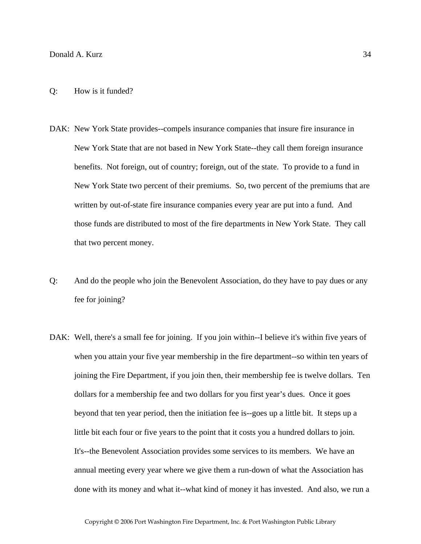- DAK: New York State provides--compels insurance companies that insure fire insurance in New York State that are not based in New York State--they call them foreign insurance benefits. Not foreign, out of country; foreign, out of the state. To provide to a fund in New York State two percent of their premiums. So, two percent of the premiums that are written by out-of-state fire insurance companies every year are put into a fund. And those funds are distributed to most of the fire departments in New York State. They call that two percent money.
- Q: And do the people who join the Benevolent Association, do they have to pay dues or any fee for joining?
- DAK: Well, there's a small fee for joining. If you join within--I believe it's within five years of when you attain your five year membership in the fire department--so within ten years of joining the Fire Department, if you join then, their membership fee is twelve dollars. Ten dollars for a membership fee and two dollars for you first year's dues. Once it goes beyond that ten year period, then the initiation fee is--goes up a little bit. It steps up a little bit each four or five years to the point that it costs you a hundred dollars to join. It's--the Benevolent Association provides some services to its members. We have an annual meeting every year where we give them a run-down of what the Association has done with its money and what it--what kind of money it has invested. And also, we run a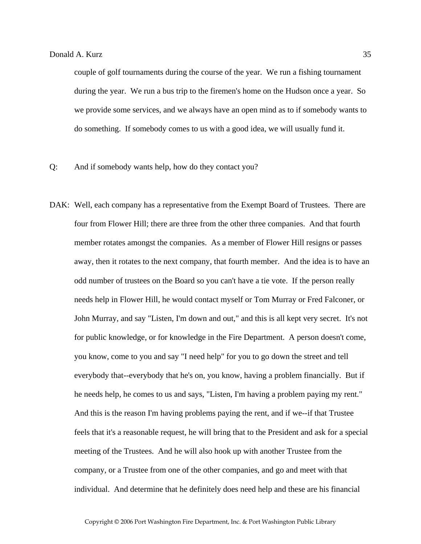couple of golf tournaments during the course of the year. We run a fishing tournament during the year. We run a bus trip to the firemen's home on the Hudson once a year. So we provide some services, and we always have an open mind as to if somebody wants to do something. If somebody comes to us with a good idea, we will usually fund it.

- Q: And if somebody wants help, how do they contact you?
- DAK: Well, each company has a representative from the Exempt Board of Trustees. There are four from Flower Hill; there are three from the other three companies. And that fourth member rotates amongst the companies. As a member of Flower Hill resigns or passes away, then it rotates to the next company, that fourth member. And the idea is to have an odd number of trustees on the Board so you can't have a tie vote. If the person really needs help in Flower Hill, he would contact myself or Tom Murray or Fred Falconer, or John Murray, and say "Listen, I'm down and out," and this is all kept very secret. It's not for public knowledge, or for knowledge in the Fire Department. A person doesn't come, you know, come to you and say "I need help" for you to go down the street and tell everybody that--everybody that he's on, you know, having a problem financially. But if he needs help, he comes to us and says, "Listen, I'm having a problem paying my rent." And this is the reason I'm having problems paying the rent, and if we--if that Trustee feels that it's a reasonable request, he will bring that to the President and ask for a special meeting of the Trustees. And he will also hook up with another Trustee from the company, or a Trustee from one of the other companies, and go and meet with that individual. And determine that he definitely does need help and these are his financial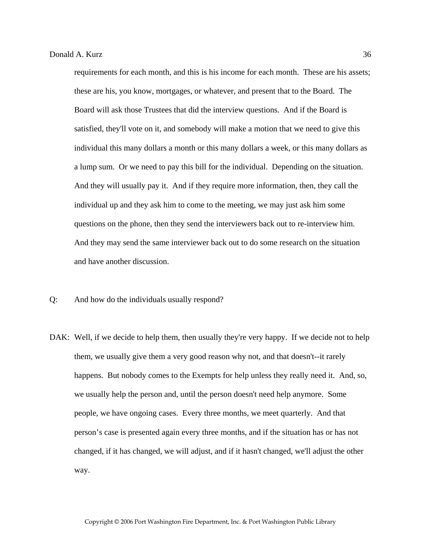requirements for each month, and this is his income for each month. These are his assets; these are his, you know, mortgages, or whatever, and present that to the Board. The Board will ask those Trustees that did the interview questions. And if the Board is satisfied, they'll vote on it, and somebody will make a motion that we need to give this individual this many dollars a month or this many dollars a week, or this many dollars as a lump sum. Or we need to pay this bill for the individual. Depending on the situation. And they will usually pay it. And if they require more information, then, they call the individual up and they ask him to come to the meeting, we may just ask him some questions on the phone, then they send the interviewers back out to re-interview him. And they may send the same interviewer back out to do some research on the situation and have another discussion.

- Q: And how do the individuals usually respond?
- DAK: Well, if we decide to help them, then usually they're very happy. If we decide not to help them, we usually give them a very good reason why not, and that doesn't--it rarely happens. But nobody comes to the Exempts for help unless they really need it. And, so, we usually help the person and, until the person doesn't need help anymore. Some people, we have ongoing cases. Every three months, we meet quarterly. And that person's case is presented again every three months, and if the situation has or has not changed, if it has changed, we will adjust, and if it hasn't changed, we'll adjust the other way.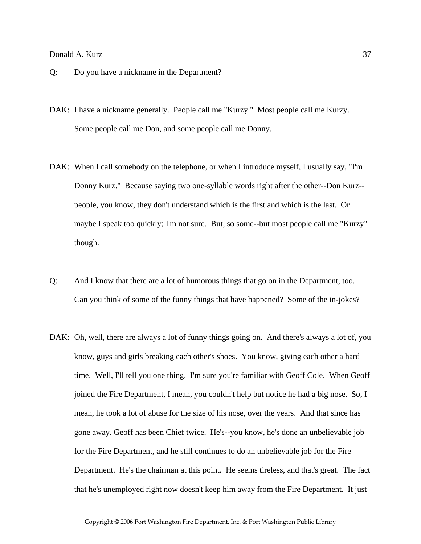#### Donald A. Kurz 37

- Q: Do you have a nickname in the Department?
- DAK: I have a nickname generally. People call me "Kurzy." Most people call me Kurzy. Some people call me Don, and some people call me Donny.
- DAK: When I call somebody on the telephone, or when I introduce myself, I usually say, "I'm Donny Kurz." Because saying two one-syllable words right after the other--Don Kurz- people, you know, they don't understand which is the first and which is the last. Or maybe I speak too quickly; I'm not sure. But, so some--but most people call me "Kurzy" though.
- Q: And I know that there are a lot of humorous things that go on in the Department, too. Can you think of some of the funny things that have happened? Some of the in-jokes?
- DAK: Oh, well, there are always a lot of funny things going on. And there's always a lot of, you know, guys and girls breaking each other's shoes. You know, giving each other a hard time. Well, I'll tell you one thing. I'm sure you're familiar with Geoff Cole. When Geoff joined the Fire Department, I mean, you couldn't help but notice he had a big nose. So, I mean, he took a lot of abuse for the size of his nose, over the years. And that since has gone away. Geoff has been Chief twice. He's--you know, he's done an unbelievable job for the Fire Department, and he still continues to do an unbelievable job for the Fire Department. He's the chairman at this point. He seems tireless, and that's great. The fact that he's unemployed right now doesn't keep him away from the Fire Department. It just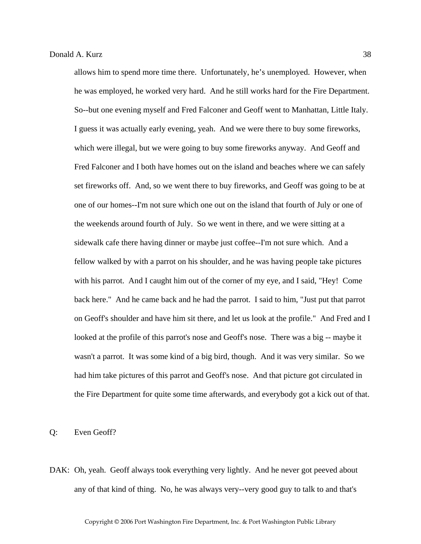allows him to spend more time there. Unfortunately, he's unemployed. However, when he was employed, he worked very hard. And he still works hard for the Fire Department. So--but one evening myself and Fred Falconer and Geoff went to Manhattan, Little Italy. I guess it was actually early evening, yeah. And we were there to buy some fireworks, which were illegal, but we were going to buy some fireworks anyway. And Geoff and Fred Falconer and I both have homes out on the island and beaches where we can safely set fireworks off. And, so we went there to buy fireworks, and Geoff was going to be at one of our homes--I'm not sure which one out on the island that fourth of July or one of the weekends around fourth of July. So we went in there, and we were sitting at a sidewalk cafe there having dinner or maybe just coffee--I'm not sure which. And a fellow walked by with a parrot on his shoulder, and he was having people take pictures with his parrot. And I caught him out of the corner of my eye, and I said, "Hey! Come back here." And he came back and he had the parrot. I said to him, "Just put that parrot on Geoff's shoulder and have him sit there, and let us look at the profile." And Fred and I looked at the profile of this parrot's nose and Geoff's nose. There was a big -- maybe it wasn't a parrot. It was some kind of a big bird, though. And it was very similar. So we had him take pictures of this parrot and Geoff's nose. And that picture got circulated in the Fire Department for quite some time afterwards, and everybody got a kick out of that.

Q: Even Geoff?

DAK: Oh, yeah. Geoff always took everything very lightly. And he never got peeved about any of that kind of thing. No, he was always very--very good guy to talk to and that's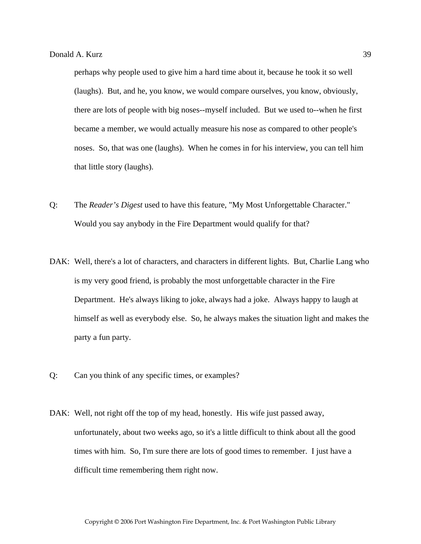perhaps why people used to give him a hard time about it, because he took it so well (laughs). But, and he, you know, we would compare ourselves, you know, obviously, there are lots of people with big noses--myself included. But we used to--when he first became a member, we would actually measure his nose as compared to other people's noses. So, that was one (laughs). When he comes in for his interview, you can tell him that little story (laughs).

- Q: The *Reader's Digest* used to have this feature, "My Most Unforgettable Character." Would you say anybody in the Fire Department would qualify for that?
- DAK: Well, there's a lot of characters, and characters in different lights. But, Charlie Lang who is my very good friend, is probably the most unforgettable character in the Fire Department. He's always liking to joke, always had a joke. Always happy to laugh at himself as well as everybody else. So, he always makes the situation light and makes the party a fun party.
- Q: Can you think of any specific times, or examples?
- DAK: Well, not right off the top of my head, honestly. His wife just passed away, unfortunately, about two weeks ago, so it's a little difficult to think about all the good times with him. So, I'm sure there are lots of good times to remember. I just have a difficult time remembering them right now.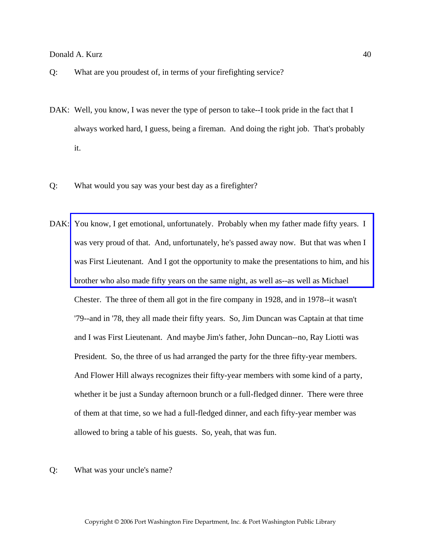- Q: What are you proudest of, in terms of your firefighting service?
- DAK: Well, you know, I was never the type of person to take--I took pride in the fact that I always worked hard, I guess, being a fireman. And doing the right job. That's probably it.
- Q: What would you say was your best day as a firefighter?
- DAK: You know, I get emotional, unfortunately. Probably when my father made fifty years. I was very proud of that. And, unfortunately, he's passed away now. But that was when I [was First Lieutenant. And I got the opportunity to make the presentations to him, and his](http://www.pwfdhistory.com/trans/kurzd_trans/kurz_family_web.jpg)  brother who also made fifty years on the same night, as well as--as well as Michael Chester. The three of them all got in the fire company in 1928, and in 1978--it wasn't '79--and in '78, they all made their fifty years. So, Jim Duncan was Captain at that time and I was First Lieutenant. And maybe Jim's father, John Duncan--no, Ray Liotti was President. So, the three of us had arranged the party for the three fifty-year members. And Flower Hill always recognizes their fifty-year members with some kind of a party, whether it be just a Sunday afternoon brunch or a full-fledged dinner. There were three of them at that time, so we had a full-fledged dinner, and each fifty-year member was allowed to bring a table of his guests. So, yeah, that was fun.
- Q: What was your uncle's name?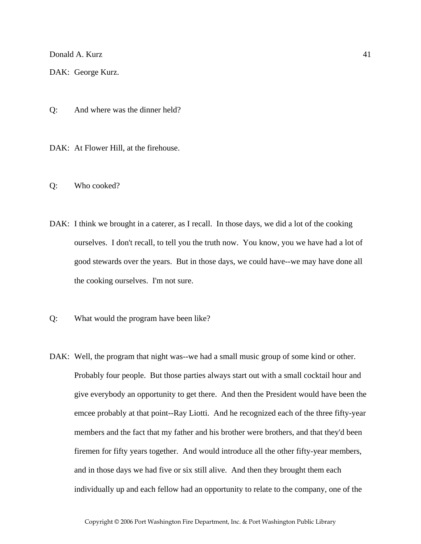Donald A. Kurz 41

DAK: George Kurz.

Q: And where was the dinner held?

DAK: At Flower Hill, at the firehouse.

Q: Who cooked?

- DAK: I think we brought in a caterer, as I recall. In those days, we did a lot of the cooking ourselves. I don't recall, to tell you the truth now. You know, you we have had a lot of good stewards over the years. But in those days, we could have--we may have done all the cooking ourselves. I'm not sure.
- Q: What would the program have been like?
- DAK: Well, the program that night was--we had a small music group of some kind or other. Probably four people. But those parties always start out with a small cocktail hour and give everybody an opportunity to get there. And then the President would have been the emcee probably at that point--Ray Liotti. And he recognized each of the three fifty-year members and the fact that my father and his brother were brothers, and that they'd been firemen for fifty years together. And would introduce all the other fifty-year members, and in those days we had five or six still alive. And then they brought them each individually up and each fellow had an opportunity to relate to the company, one of the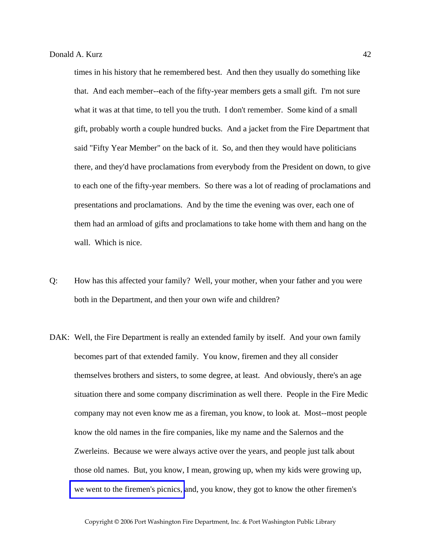times in his history that he remembered best. And then they usually do something like that. And each member--each of the fifty-year members gets a small gift. I'm not sure what it was at that time, to tell you the truth. I don't remember. Some kind of a small gift, probably worth a couple hundred bucks. And a jacket from the Fire Department that said "Fifty Year Member" on the back of it. So, and then they would have politicians there, and they'd have proclamations from everybody from the President on down, to give to each one of the fifty-year members. So there was a lot of reading of proclamations and presentations and proclamations. And by the time the evening was over, each one of them had an armload of gifts and proclamations to take home with them and hang on the wall. Which is nice.

- Q: How has this affected your family? Well, your mother, when your father and you were both in the Department, and then your own wife and children?
- DAK: Well, the Fire Department is really an extended family by itself. And your own family becomes part of that extended family. You know, firemen and they all consider themselves brothers and sisters, to some degree, at least. And obviously, there's an age situation there and some company discrimination as well there. People in the Fire Medic company may not even know me as a fireman, you know, to look at. Most--most people know the old names in the fire companies, like my name and the Salernos and the Zwerleins. Because we were always active over the years, and people just talk about those old names. But, you know, I mean, growing up, when my kids were growing up, [we went to the firemen's picnics,](http://www.pwfdhistory.com/trans/kurzd_trans/fhh_picnic001_web.jpg) and, you know, they got to know the other firemen's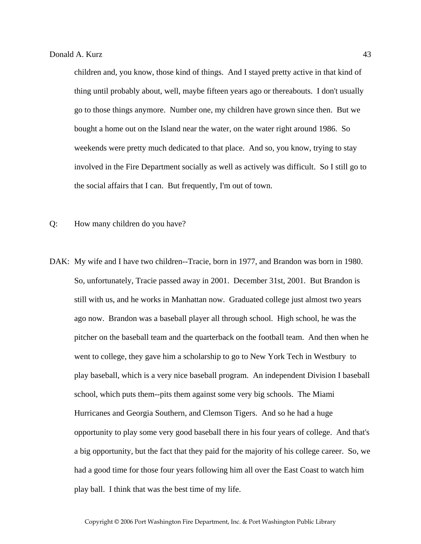children and, you know, those kind of things. And I stayed pretty active in that kind of thing until probably about, well, maybe fifteen years ago or thereabouts. I don't usually go to those things anymore. Number one, my children have grown since then. But we bought a home out on the Island near the water, on the water right around 1986. So weekends were pretty much dedicated to that place. And so, you know, trying to stay involved in the Fire Department socially as well as actively was difficult. So I still go to the social affairs that I can. But frequently, I'm out of town.

Q: How many children do you have?

DAK: My wife and I have two children--Tracie, born in 1977, and Brandon was born in 1980. So, unfortunately, Tracie passed away in 2001. December 31st, 2001. But Brandon is still with us, and he works in Manhattan now. Graduated college just almost two years ago now. Brandon was a baseball player all through school. High school, he was the pitcher on the baseball team and the quarterback on the football team. And then when he went to college, they gave him a scholarship to go to New York Tech in Westbury to play baseball, which is a very nice baseball program. An independent Division I baseball school, which puts them--pits them against some very big schools. The Miami Hurricanes and Georgia Southern, and Clemson Tigers. And so he had a huge opportunity to play some very good baseball there in his four years of college. And that's a big opportunity, but the fact that they paid for the majority of his college career. So, we had a good time for those four years following him all over the East Coast to watch him play ball. I think that was the best time of my life.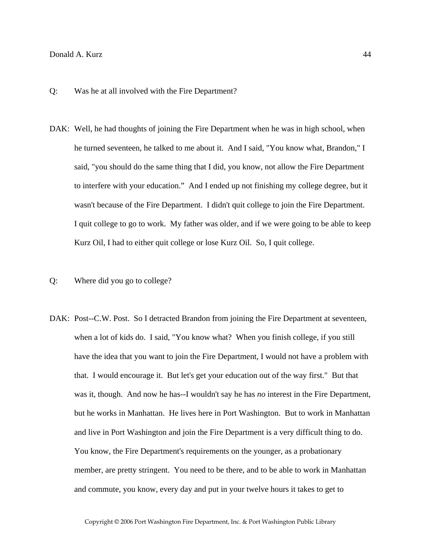## Donald A. Kurz 44

- Q: Was he at all involved with the Fire Department?
- DAK: Well, he had thoughts of joining the Fire Department when he was in high school, when he turned seventeen, he talked to me about it. And I said, "You know what, Brandon," I said, "you should do the same thing that I did, you know, not allow the Fire Department to interfere with your education." And I ended up not finishing my college degree, but it wasn't because of the Fire Department. I didn't quit college to join the Fire Department. I quit college to go to work. My father was older, and if we were going to be able to keep Kurz Oil, I had to either quit college or lose Kurz Oil. So, I quit college.
- Q: Where did you go to college?
- DAK: Post--C.W. Post. So I detracted Brandon from joining the Fire Department at seventeen, when a lot of kids do. I said, "You know what? When you finish college, if you still have the idea that you want to join the Fire Department, I would not have a problem with that. I would encourage it. But let's get your education out of the way first." But that was it, though. And now he has--I wouldn't say he has *no* interest in the Fire Department, but he works in Manhattan. He lives here in Port Washington. But to work in Manhattan and live in Port Washington and join the Fire Department is a very difficult thing to do. You know, the Fire Department's requirements on the younger, as a probationary member, are pretty stringent. You need to be there, and to be able to work in Manhattan and commute, you know, every day and put in your twelve hours it takes to get to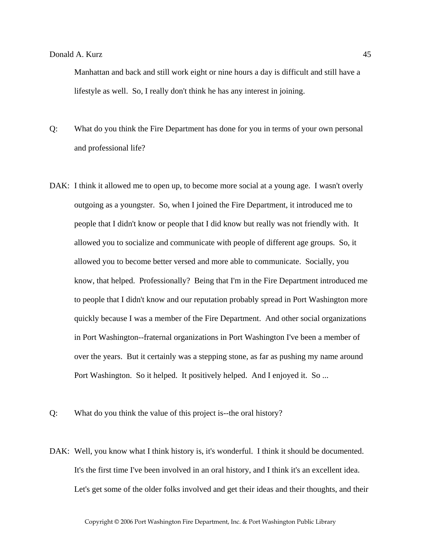Manhattan and back and still work eight or nine hours a day is difficult and still have a lifestyle as well. So, I really don't think he has any interest in joining.

- Q: What do you think the Fire Department has done for you in terms of your own personal and professional life?
- DAK: I think it allowed me to open up, to become more social at a young age. I wasn't overly outgoing as a youngster. So, when I joined the Fire Department, it introduced me to people that I didn't know or people that I did know but really was not friendly with. It allowed you to socialize and communicate with people of different age groups. So, it allowed you to become better versed and more able to communicate. Socially, you know, that helped. Professionally? Being that I'm in the Fire Department introduced me to people that I didn't know and our reputation probably spread in Port Washington more quickly because I was a member of the Fire Department. And other social organizations in Port Washington--fraternal organizations in Port Washington I've been a member of over the years. But it certainly was a stepping stone, as far as pushing my name around Port Washington. So it helped. It positively helped. And I enjoyed it. So ...
- Q: What do you think the value of this project is--the oral history?
- DAK: Well, you know what I think history is, it's wonderful. I think it should be documented. It's the first time I've been involved in an oral history, and I think it's an excellent idea. Let's get some of the older folks involved and get their ideas and their thoughts, and their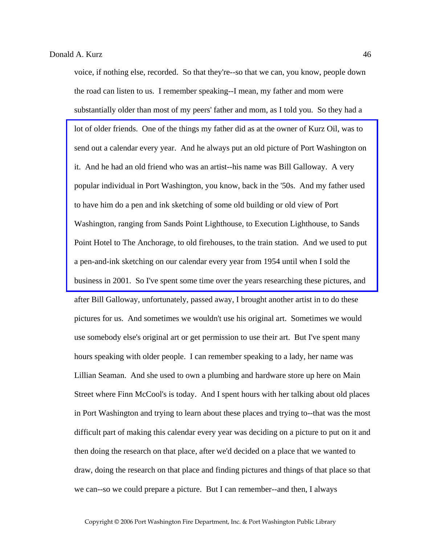voice, if nothing else, recorded. So that they're--so that we can, you know, people down the road can listen to us. I remember speaking--I mean, my father and mom were substantially older than most of my peers' father and mom, as I told you. So they had a lot of older friends. One of the things my father did as at the owner of Kurz Oil, was to send out a calendar every year. And he always put an old picture of Port Washington on it. And he had an old friend who was an artist--his name was Bill Galloway. A very popular individual in Port Washington, you know, back in the '50s. And my father used to have him do a pen and ink sketching of some old building or old view of Port Washington, ranging from Sands Point Lighthouse, to Execution Lighthouse, to Sands [Point Hotel to The Anchorage, to old firehouses, to the train station. And we used to put](http://www.pwfdhistory.com/trans/kurzd_trans/news_cocks028a_web.jpg)  a pen-and-ink sketching on our calendar every year from 1954 until when I sold the business in 2001. So I've spent some time over the years researching these pictures, and after Bill Galloway, unfortunately, passed away, I brought another artist in to do these pictures for us. And sometimes we wouldn't use his original art. Sometimes we would use somebody else's original art or get permission to use their art. But I've spent many hours speaking with older people. I can remember speaking to a lady, her name was Lillian Seaman. And she used to own a plumbing and hardware store up here on Main Street where Finn McCool's is today. And I spent hours with her talking about old places in Port Washington and trying to learn about these places and trying to--that was the most difficult part of making this calendar every year was deciding on a picture to put on it and then doing the research on that place, after we'd decided on a place that we wanted to draw, doing the research on that place and finding pictures and things of that place so that we can--so we could prepare a picture. But I can remember--and then, I always